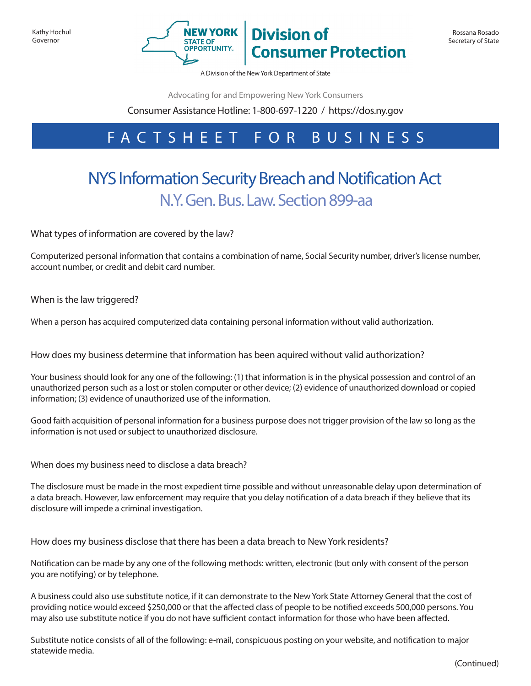Kathy Hochul Governor



Rossana Rosado Secretary of State

A Division of the New York Department of State

Advocating for and Empowering New York Consumers

Consumer Assistance Hotline: 1-800-697-1220 / https://dos.ny.gov

## FACTSHEET FOR BUSINESS

## NYS Information Security Breach and Notification Act N.Y. Gen. Bus. Law. Section 899-aa

What types of information are covered by the law?

Computerized personal information that contains a combination of name, Social Security number, driver's license number, account number, or credit and debit card number.

When is the law triggered?

When a person has acquired computerized data containing personal information without valid authorization.

How does my business determine that information has been aquired without valid authorization?

Your business should look for any one of the following: (1) that information is in the physical possession and control of an unauthorized person such as a lost or stolen computer or other device; (2) evidence of unauthorized download or copied information; (3) evidence of unauthorized use of the information.

Good faith acquisition of personal information for a business purpose does not trigger provision of the law so long as the information is not used or subject to unauthorized disclosure.

When does my business need to disclose a data breach?

The disclosure must be made in the most expedient time possible and without unreasonable delay upon determination of a data breach. However, law enforcement may require that you delay notification of a data breach if they believe that its disclosure will impede a criminal investigation.

How does my business disclose that there has been a data breach to New York residents?

Notification can be made by any one of the following methods: written, electronic (but only with consent of the person you are notifying) or by telephone.

A business could also use substitute notice, if it can demonstrate to the New York State Attorney General that the cost of providing notice would exceed \$250,000 or that the affected class of people to be notified exceeds 500,000 persons. You may also use substitute notice if you do not have sufficient contact information for those who have been affected.

Substitute notice consists of all of the following: e-mail, conspicuous posting on your website, and notification to major statewide media.